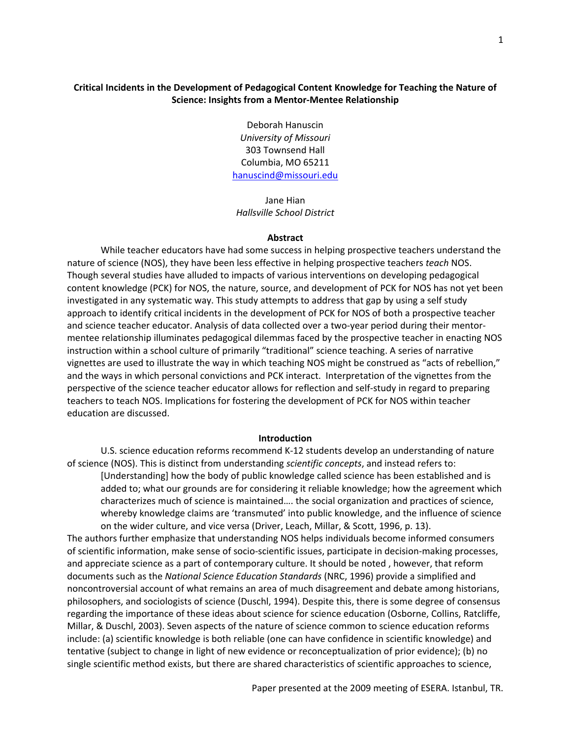# **Critical Incidents in the Development of Pedagogical Content Knowledge for Teaching the Nature of Science: Insights from a Mentor‐Mentee Relationship**

Deborah Hanuscin *University of Missouri* 303 Townsend Hall Columbia, MO 65211 hanuscind@missouri.edu

Jane Hian *Hallsville School District*

#### **Abstract**

While teacher educators have had some success in helping prospective teachers understand the nature of science (NOS), they have been less effective in helping prospective teachers *teach* NOS. Though several studies have alluded to impacts of various interventions on developing pedagogical content knowledge (PCK) for NOS, the nature, source, and development of PCK for NOS has not yet been investigated in any systematic way. This study attempts to address that gap by using a self study approach to identify critical incidents in the development of PCK for NOS of both a prospective teacher and science teacher educator. Analysis of data collected over a two-year period during their mentormentee relationship illuminates pedagogical dilemmas faced by the prospective teacher in enacting NOS instruction within a school culture of primarily "traditional" science teaching. A series of narrative vignettes are used to illustrate the way in which teaching NOS might be construed as "acts of rebellion," and the ways in which personal convictions and PCK interact. Interpretation of the vignettes from the perspective of the science teacher educator allows for reflection and self‐study in regard to preparing teachers to teach NOS. Implications for fostering the development of PCK for NOS within teacher education are discussed.

#### **Introduction**

U.S. science education reforms recommend K‐12 students develop an understanding of nature of science (NOS). This is distinct from understanding *scientific concepts*, and instead refers to:

[Understanding] how the body of public knowledge called science has been established and is added to; what our grounds are for considering it reliable knowledge; how the agreement which characterizes much of science is maintained…. the social organization and practices of science, whereby knowledge claims are 'transmuted' into public knowledge, and the influence of science on the wider culture, and vice versa (Driver, Leach, Millar, & Scott, 1996, p. 13).

The authors further emphasize that understanding NOS helps individuals become informed consumers of scientific information, make sense of socio‐scientific issues, participate in decision‐making processes, and appreciate science as a part of contemporary culture. It should be noted , however, that reform documents such as the *National Science Education Standards* (NRC, 1996) provide a simplified and noncontroversial account of what remains an area of much disagreement and debate among historians, philosophers, and sociologists of science (Duschl, 1994). Despite this, there is some degree of consensus regarding the importance of these ideas about science for science education (Osborne, Collins, Ratcliffe, Millar, & Duschl, 2003). Seven aspects of the nature of science common to science education reforms include: (a) scientific knowledge is both reliable (one can have confidence in scientific knowledge) and tentative (subject to change in light of new evidence or reconceptualization of prior evidence); (b) no single scientific method exists, but there are shared characteristics of scientific approaches to science,

Paper presented at the 2009 meeting of ESERA. Istanbul, TR.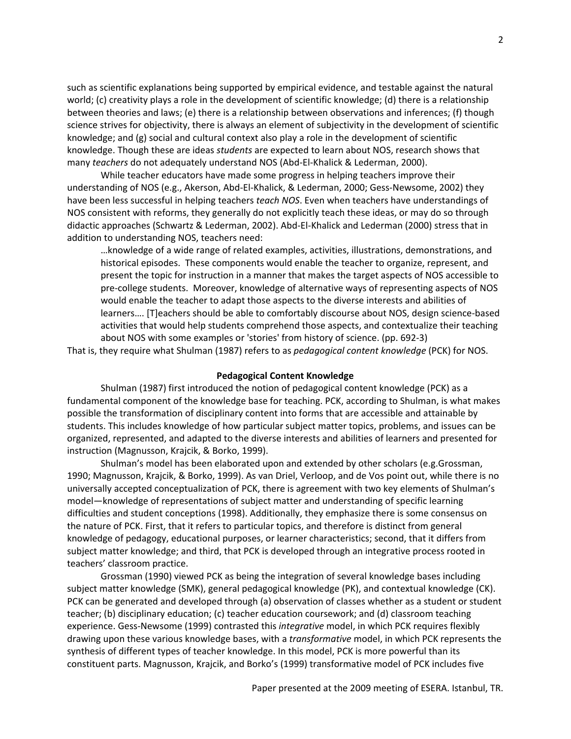such as scientific explanations being supported by empirical evidence, and testable against the natural world; (c) creativity plays a role in the development of scientific knowledge; (d) there is a relationship between theories and laws; (e) there is a relationship between observations and inferences; (f) though science strives for objectivity, there is always an element of subjectivity in the development of scientific knowledge; and (g) social and cultural context also play a role in the development of scientific knowledge. Though these are ideas *students* are expected to learn about NOS, research shows that many *teachers* do not adequately understand NOS (Abd‐El‐Khalick & Lederman, 2000).

While teacher educators have made some progress in helping teachers improve their understanding of NOS (e.g., Akerson, Abd‐El‐Khalick, & Lederman, 2000; Gess‐Newsome, 2002) they have been less successful in helping teachers *teach NOS*. Even when teachers have understandings of NOS consistent with reforms, they generally do not explicitly teach these ideas, or may do so through didactic approaches (Schwartz & Lederman, 2002). Abd‐El‐Khalick and Lederman (2000) stress that in addition to understanding NOS, teachers need:

…knowledge of a wide range of related examples, activities, illustrations, demonstrations, and historical episodes. These components would enable the teacher to organize, represent, and present the topic for instruction in a manner that makes the target aspects of NOS accessible to pre‐college students. Moreover, knowledge of alternative ways of representing aspects of NOS would enable the teacher to adapt those aspects to the diverse interests and abilities of learners…. [T]eachers should be able to comfortably discourse about NOS, design science‐based activities that would help students comprehend those aspects, and contextualize their teaching about NOS with some examples or 'stories' from history of science. (pp. 692‐3)

That is, they require what Shulman (1987) refers to as *pedagogical content knowledge* (PCK) for NOS.

## **Pedagogical Content Knowledge**

Shulman (1987) first introduced the notion of pedagogical content knowledge (PCK) as a fundamental component of the knowledge base for teaching. PCK, according to Shulman, is what makes possible the transformation of disciplinary content into forms that are accessible and attainable by students. This includes knowledge of how particular subject matter topics, problems, and issues can be organized, represented, and adapted to the diverse interests and abilities of learners and presented for instruction (Magnusson, Krajcik, & Borko, 1999).

Shulman's model has been elaborated upon and extended by other scholars (e.g.Grossman, 1990; Magnusson, Krajcik, & Borko, 1999). As van Driel, Verloop, and de Vos point out, while there is no universally accepted conceptualization of PCK, there is agreement with two key elements of Shulman's model—knowledge of representations of subject matter and understanding of specific learning difficulties and student conceptions (1998). Additionally, they emphasize there is some consensus on the nature of PCK. First, that it refers to particular topics, and therefore is distinct from general knowledge of pedagogy, educational purposes, or learner characteristics; second, that it differs from subject matter knowledge; and third, that PCK is developed through an integrative process rooted in teachers' classroom practice.

Grossman (1990) viewed PCK as being the integration of several knowledge bases including subject matter knowledge (SMK), general pedagogical knowledge (PK), and contextual knowledge (CK). PCK can be generated and developed through (a) observation of classes whether as a student or student teacher; (b) disciplinary education; (c) teacher education coursework; and (d) classroom teaching experience. Gess‐Newsome (1999) contrasted this *integrative* model, in which PCK requires flexibly drawing upon these various knowledge bases, with a *transformative* model, in which PCK represents the synthesis of different types of teacher knowledge. In this model, PCK is more powerful than its constituent parts. Magnusson, Krajcik, and Borko's (1999) transformative model of PCK includes five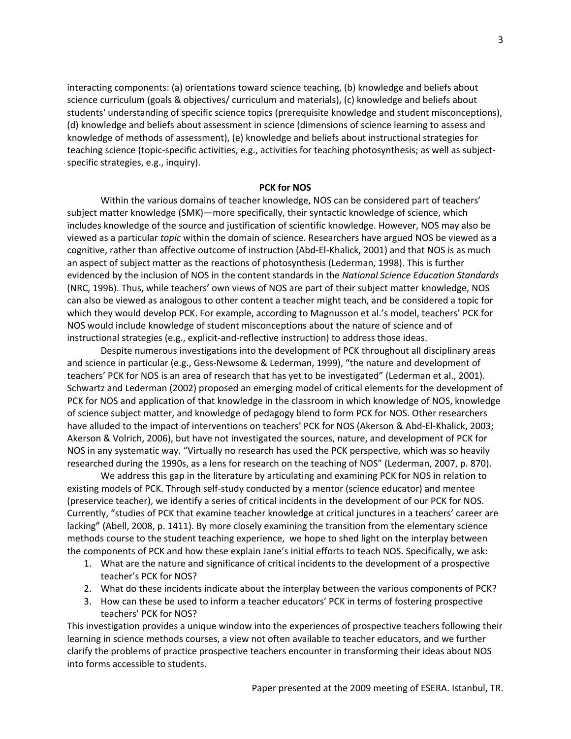interacting components: (a) orientations toward science teaching, (b) knowledge and beliefs about science curriculum (goals & objectives/ curriculum and materials), (c) knowledge and beliefs about students' understanding of specific science topics (prerequisite knowledge and student misconceptions), (d) knowledge and beliefs about assessment in science (dimensions of science learning to assess and knowledge of methods of assessment), (e) knowledge and beliefs about instructional strategies for teaching science (topic-specific activities, e.g., activities for teaching photosynthesis; as well as subjectspecific strategies, e.g., inquiry).

### **PCK for NOS**

Within the various domains of teacher knowledge, NOS can be considered part of teachers' subject matter knowledge (SMK)—more specifically, their syntactic knowledge of science, which includes knowledge of the source and justification of scientific knowledge. However, NOS may also be viewed as a particular *topic* within the domain of science. Researchers have argued NOS be viewed as a cognitive, rather than affective outcome of instruction (Abd‐El‐Khalick, 2001) and that NOS is as much an aspect of subject matter as the reactions of photosynthesis (Lederman, 1998). This is further evidenced by the inclusion of NOS in the content standards in the *National Science Education Standards* (NRC, 1996). Thus, while teachers' own views of NOS are part of their subject matter knowledge, NOS can also be viewed as analogous to other content a teacher might teach, and be considered a topic for which they would develop PCK. For example, according to Magnusson et al.'s model, teachers' PCK for NOS would include knowledge of student misconceptions about the nature of science and of instructional strategies (e.g., explicit-and-reflective instruction) to address those ideas.

Despite numerous investigations into the development of PCK throughout all disciplinary areas and science in particular (e.g., Gess‐Newsome & Lederman, 1999), "the nature and development of teachers' PCK for NOS is an area of research that has yet to be investigated" (Lederman et al., 2001). Schwartz and Lederman (2002) proposed an emerging model of critical elements for the development of PCK for NOS and application of that knowledge in the classroom in which knowledge of NOS, knowledge of science subject matter, and knowledge of pedagogy blend to form PCK for NOS. Other researchers have alluded to the impact of interventions on teachers' PCK for NOS (Akerson & Abd-El-Khalick, 2003; Akerson & Volrich, 2006), but have not investigated the sources, nature, and development of PCK for NOS in any systematic way. "Virtually no research has used the PCK perspective, which was so heavily researched during the 1990s, as a lens for research on the teaching of NOS" (Lederman, 2007, p. 870).

We address this gap in the literature by articulating and examining PCK for NOS in relation to existing models of PCK. Through self‐study conducted by a mentor (science educator) and mentee (preservice teacher), we identify a series of critical incidents in the development of our PCK for NOS. Currently, "studies of PCK that examine teacher knowledge at critical junctures in a teachers' career are lacking" (Abell, 2008, p. 1411). By more closely examining the transition from the elementary science methods course to the student teaching experience, we hope to shed light on the interplay between the components of PCK and how these explain Jane's initial efforts to teach NOS. Specifically, we ask:

- 1. What are the nature and significance of critical incidents to the development of a prospective teacher's PCK for NOS?
- 2. What do these incidents indicate about the interplay between the various components of PCK?
- 3. How can these be used to inform a teacher educators' PCK in terms of fostering prospective teachers' PCK for NOS?

This investigation provides a unique window into the experiences of prospective teachers following their learning in science methods courses, a view not often available to teacher educators, and we further clarify the problems of practice prospective teachers encounter in transforming their ideas about NOS into forms accessible to students.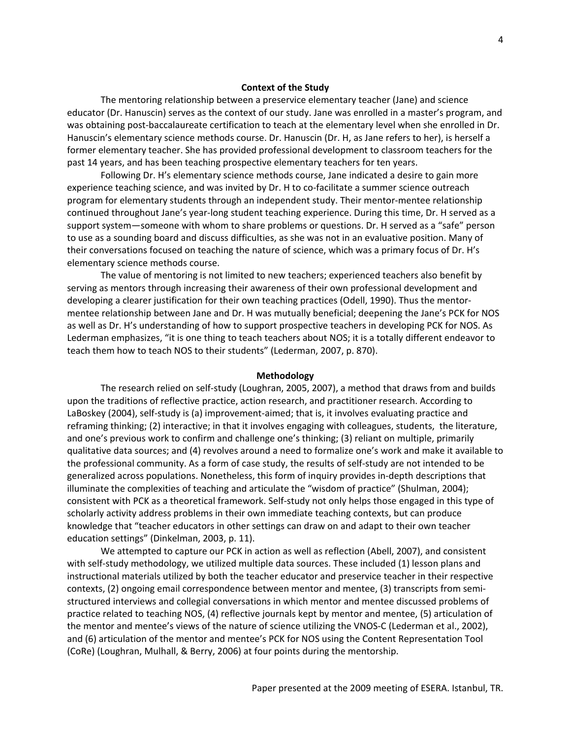## **Context of the Study**

The mentoring relationship between a preservice elementary teacher (Jane) and science educator (Dr. Hanuscin) serves as the context of our study. Jane was enrolled in a master's program, and was obtaining post-baccalaureate certification to teach at the elementary level when she enrolled in Dr. Hanuscin's elementary science methods course. Dr. Hanuscin (Dr. H, as Jane refers to her), is herself a former elementary teacher. She has provided professional development to classroom teachers for the past 14 years, and has been teaching prospective elementary teachers for ten years.

Following Dr. H's elementary science methods course, Jane indicated a desire to gain more experience teaching science, and was invited by Dr. H to co-facilitate a summer science outreach program for elementary students through an independent study. Their mentor-mentee relationship continued throughout Jane's year‐long student teaching experience. During this time, Dr. H served as a support system—someone with whom to share problems or questions. Dr. H served as a "safe" person to use as a sounding board and discuss difficulties, as she was not in an evaluative position. Many of their conversations focused on teaching the nature of science, which was a primary focus of Dr. H's elementary science methods course.

The value of mentoring is not limited to new teachers; experienced teachers also benefit by serving as mentors through increasing their awareness of their own professional development and developing a clearer justification for their own teaching practices (Odell, 1990). Thus the mentor‐ mentee relationship between Jane and Dr. H was mutually beneficial; deepening the Jane's PCK for NOS as well as Dr. H's understanding of how to support prospective teachers in developing PCK for NOS. As Lederman emphasizes, "it is one thing to teach teachers about NOS; it is a totally different endeavor to teach them how to teach NOS to their students" (Lederman, 2007, p. 870).

#### **Methodology**

The research relied on self‐study (Loughran, 2005, 2007), a method that draws from and builds upon the traditions of reflective practice, action research, and practitioner research. According to LaBoskey (2004), self‐study is (a) improvement‐aimed; that is, it involves evaluating practice and reframing thinking; (2) interactive; in that it involves engaging with colleagues, students, the literature, and one's previous work to confirm and challenge one's thinking; (3) reliant on multiple, primarily qualitative data sources; and (4) revolves around a need to formalize one's work and make it available to the professional community. As a form of case study, the results of self‐study are not intended to be generalized across populations. Nonetheless, this form of inquiry provides in‐depth descriptions that illuminate the complexities of teaching and articulate the "wisdom of practice" (Shulman, 2004); consistent with PCK as a theoretical framework. Self‐study not only helps those engaged in this type of scholarly activity address problems in their own immediate teaching contexts, but can produce knowledge that "teacher educators in other settings can draw on and adapt to their own teacher education settings" (Dinkelman, 2003, p. 11).

We attempted to capture our PCK in action as well as reflection (Abell, 2007), and consistent with self-study methodology, we utilized multiple data sources. These included (1) lesson plans and instructional materials utilized by both the teacher educator and preservice teacher in their respective contexts, (2) ongoing email correspondence between mentor and mentee, (3) transcripts from semi‐ structured interviews and collegial conversations in which mentor and mentee discussed problems of practice related to teaching NOS, (4) reflective journals kept by mentor and mentee, (5) articulation of the mentor and mentee's views of the nature of science utilizing the VNOS-C (Lederman et al., 2002), and (6) articulation of the mentor and mentee's PCK for NOS using the Content Representation Tool (CoRe) (Loughran, Mulhall, & Berry, 2006) at four points during the mentorship.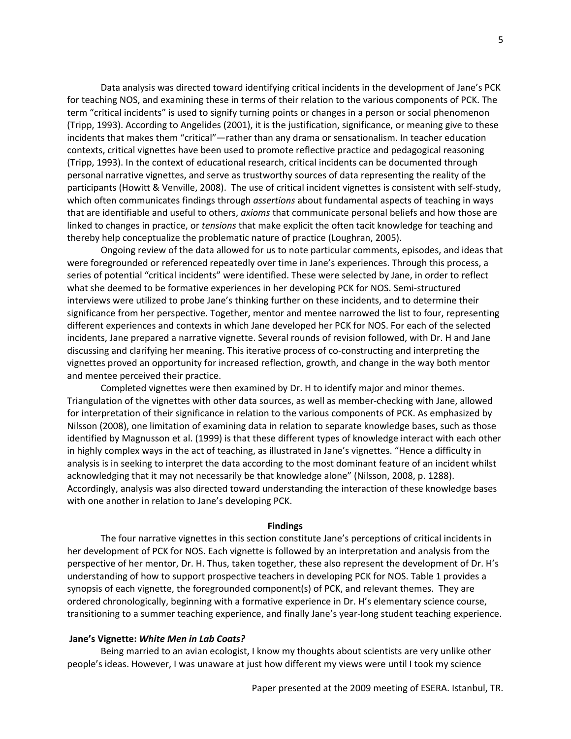Data analysis was directed toward identifying critical incidents in the development of Jane's PCK for teaching NOS, and examining these in terms of their relation to the various components of PCK. The term "critical incidents" is used to signify turning points or changes in a person or social phenomenon (Tripp, 1993). According to Angelides (2001), it is the justification, significance, or meaning give to these incidents that makes them "critical"—rather than any drama or sensationalism. In teacher education contexts, critical vignettes have been used to promote reflective practice and pedagogical reasoning (Tripp, 1993). In the context of educational research, critical incidents can be documented through personal narrative vignettes, and serve as trustworthy sources of data representing the reality of the participants (Howitt & Venville, 2008). The use of critical incident vignettes is consistent with self‐study, which often communicates findings through *assertions* about fundamental aspects of teaching in ways that are identifiable and useful to others, *axioms* that communicate personal beliefs and how those are linked to changes in practice, or *tensions* that make explicit the often tacit knowledge for teaching and thereby help conceptualize the problematic nature of practice (Loughran, 2005).

 Ongoing review of the data allowed for us to note particular comments, episodes, and ideas that were foregrounded or referenced repeatedly over time in Jane's experiences. Through this process, a series of potential "critical incidents" were identified. These were selected by Jane, in order to reflect what she deemed to be formative experiences in her developing PCK for NOS. Semi‐structured interviews were utilized to probe Jane's thinking further on these incidents, and to determine their significance from her perspective. Together, mentor and mentee narrowed the list to four, representing different experiences and contexts in which Jane developed her PCK for NOS. For each of the selected incidents, Jane prepared a narrative vignette. Several rounds of revision followed, with Dr. H and Jane discussing and clarifying her meaning. This iterative process of co-constructing and interpreting the vignettes proved an opportunity for increased reflection, growth, and change in the way both mentor and mentee perceived their practice.

Completed vignettes were then examined by Dr. H to identify major and minor themes. Triangulation of the vignettes with other data sources, as well as member‐checking with Jane, allowed for interpretation of their significance in relation to the various components of PCK. As emphasized by Nilsson (2008), one limitation of examining data in relation to separate knowledge bases, such as those identified by Magnusson et al. (1999) is that these different types of knowledge interact with each other in highly complex ways in the act of teaching, as illustrated in Jane's vignettes. "Hence a difficulty in analysis is in seeking to interpret the data according to the most dominant feature of an incident whilst acknowledging that it may not necessarily be that knowledge alone" (Nilsson, 2008, p. 1288). Accordingly, analysis was also directed toward understanding the interaction of these knowledge bases with one another in relation to Jane's developing PCK.

#### **Findings**

The four narrative vignettes in this section constitute Jane's perceptions of critical incidents in her development of PCK for NOS. Each vignette is followed by an interpretation and analysis from the perspective of her mentor, Dr. H. Thus, taken together, these also represent the development of Dr. H's understanding of how to support prospective teachers in developing PCK for NOS. Table 1 provides a synopsis of each vignette, the foregrounded component(s) of PCK, and relevant themes. They are ordered chronologically, beginning with a formative experience in Dr. H's elementary science course, transitioning to a summer teaching experience, and finally Jane's year-long student teaching experience.

#### **Jane's Vignette:** *White Men in Lab Coats?*

Being married to an avian ecologist, I know my thoughts about scientists are very unlike other people's ideas. However, I was unaware at just how different my views were until I took my science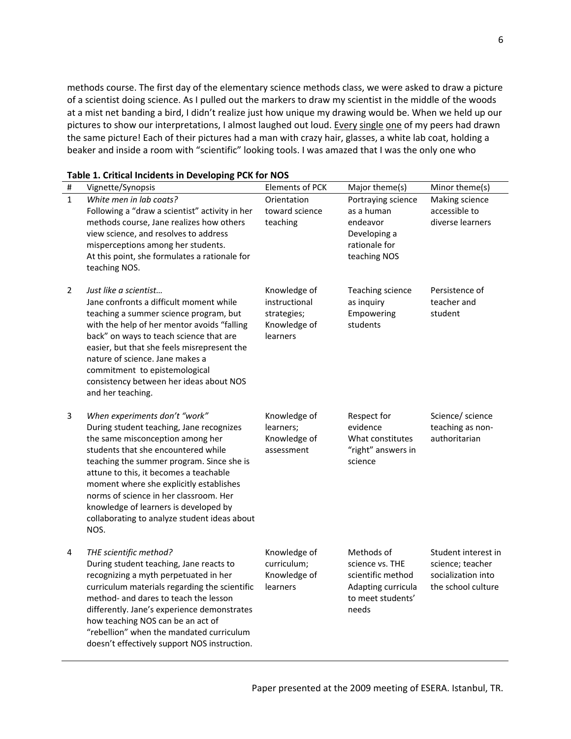methods course. The first day of the elementary science methods class, we were asked to draw a picture of a scientist doing science. As I pulled out the markers to draw my scientist in the middle of the woods at a mist net banding a bird, I didn't realize just how unique my drawing would be. When we held up our pictures to show our interpretations, I almost laughed out loud. Every single one of my peers had drawn the same picture! Each of their pictures had a man with crazy hair, glasses, a white lab coat, holding a beaker and inside a room with "scientific" looking tools. I was amazed that I was the only one who

| $\#$         | Vignette/Synopsis                                                                                                                                                                                                                                                                                                                                                                                                                 | <b>Elements of PCK</b>                                                   | Major theme(s)                                                                                         | Minor theme(s)                                                                      |
|--------------|-----------------------------------------------------------------------------------------------------------------------------------------------------------------------------------------------------------------------------------------------------------------------------------------------------------------------------------------------------------------------------------------------------------------------------------|--------------------------------------------------------------------------|--------------------------------------------------------------------------------------------------------|-------------------------------------------------------------------------------------|
| $\mathbf{1}$ | White men in lab coats?<br>Following a "draw a scientist" activity in her<br>methods course, Jane realizes how others<br>view science, and resolves to address<br>misperceptions among her students.<br>At this point, she formulates a rationale for<br>teaching NOS.                                                                                                                                                            | Orientation<br>toward science<br>teaching                                | Portraying science<br>as a human<br>endeavor<br>Developing a<br>rationale for<br>teaching NOS          | Making science<br>accessible to<br>diverse learners                                 |
| 2            | Just like a scientist<br>Jane confronts a difficult moment while<br>teaching a summer science program, but<br>with the help of her mentor avoids "falling<br>back" on ways to teach science that are<br>easier, but that she feels misrepresent the<br>nature of science. Jane makes a<br>commitment to epistemological<br>consistency between her ideas about NOS<br>and her teaching.                                           | Knowledge of<br>instructional<br>strategies;<br>Knowledge of<br>learners | Teaching science<br>as inquiry<br>Empowering<br>students                                               | Persistence of<br>teacher and<br>student                                            |
| 3            | When experiments don't "work"<br>During student teaching, Jane recognizes<br>the same misconception among her<br>students that she encountered while<br>teaching the summer program. Since she is<br>attune to this, it becomes a teachable<br>moment where she explicitly establishes<br>norms of science in her classroom. Her<br>knowledge of learners is developed by<br>collaborating to analyze student ideas about<br>NOS. | Knowledge of<br>learners;<br>Knowledge of<br>assessment                  | Respect for<br>evidence<br>What constitutes<br>"right" answers in<br>science                           | Science/ science<br>teaching as non-<br>authoritarian                               |
| 4            | THE scientific method?<br>During student teaching, Jane reacts to<br>recognizing a myth perpetuated in her<br>curriculum materials regarding the scientific<br>method- and dares to teach the lesson<br>differently. Jane's experience demonstrates<br>how teaching NOS can be an act of<br>"rebellion" when the mandated curriculum<br>doesn't effectively support NOS instruction.                                              | Knowledge of<br>curriculum;<br>Knowledge of<br>learners                  | Methods of<br>science vs. THE<br>scientific method<br>Adapting curricula<br>to meet students'<br>needs | Student interest in<br>science; teacher<br>socialization into<br>the school culture |

# **Table 1. Critical Incidents in Developing PCK for NOS**

Paper presented at the 2009 meeting of ESERA. Istanbul, TR.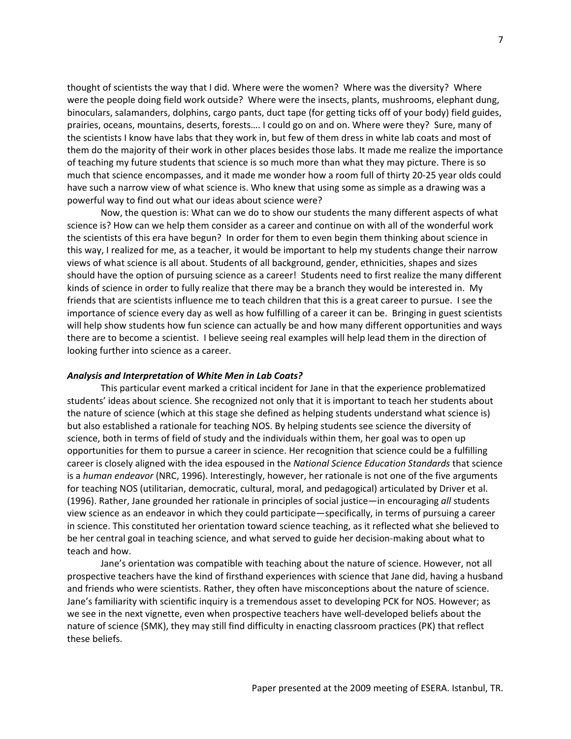thought of scientists the way that I did. Where were the women? Where was the diversity? Where were the people doing field work outside? Where were the insects, plants, mushrooms, elephant dung, binoculars, salamanders, dolphins, cargo pants, duct tape (for getting ticks off of your body) field guides, prairies, oceans, mountains, deserts, forests…. I could go on and on. Where were they? Sure, many of the scientists I know have labs that they work in, but few of them dress in white lab coats and most of them do the majority of their work in other places besides those labs. It made me realize the importance of teaching my future students that science is so much more than what they may picture. There is so much that science encompasses, and it made me wonder how a room full of thirty 20‐25 year olds could have such a narrow view of what science is. Who knew that using some as simple as a drawing was a powerful way to find out what our ideas about science were?

Now, the question is: What can we do to show our students the many different aspects of what science is? How can we help them consider as a career and continue on with all of the wonderful work the scientists of this era have begun? In order for them to even begin them thinking about science in this way, I realized for me, as a teacher, it would be important to help my students change their narrow views of what science is all about. Students of all background, gender, ethnicities, shapes and sizes should have the option of pursuing science as a career! Students need to first realize the many different kinds of science in order to fully realize that there may be a branch they would be interested in. My friends that are scientists influence me to teach children that this is a great career to pursue. I see the importance of science every day as well as how fulfilling of a career it can be. Bringing in guest scientists will help show students how fun science can actually be and how many different opportunities and ways there are to become a scientist. I believe seeing real examples will help lead them in the direction of looking further into science as a career.

## *Analysis and Interpretation* **of** *White Men in Lab Coats?*

This particular event marked a critical incident for Jane in that the experience problematized students' ideas about science. She recognized not only that it is important to teach her students about the nature of science (which at this stage she defined as helping students understand what science is) but also established a rationale for teaching NOS. By helping students see science the diversity of science, both in terms of field of study and the individuals within them, her goal was to open up opportunities for them to pursue a career in science. Her recognition that science could be a fulfilling career is closely aligned with the idea espoused in the *National Science Education Standards* that science is a *human endeavor* (NRC, 1996). Interestingly, however, her rationale is not one of the five arguments for teaching NOS (utilitarian, democratic, cultural, moral, and pedagogical) articulated by Driver et al. (1996). Rather, Jane grounded her rationale in principles of social justice—in encouraging *all* students view science as an endeavor in which they could participate—specifically, in terms of pursuing a career in science. This constituted her orientation toward science teaching, as it reflected what she believed to be her central goal in teaching science, and what served to guide her decision-making about what to teach and how.

Jane's orientation was compatible with teaching about the nature of science. However, not all prospective teachers have the kind of firsthand experiences with science that Jane did, having a husband and friends who were scientists. Rather, they often have misconceptions about the nature of science. Jane's familiarity with scientific inquiry is a tremendous asset to developing PCK for NOS. However; as we see in the next vignette, even when prospective teachers have well‐developed beliefs about the nature of science (SMK), they may still find difficulty in enacting classroom practices (PK) that reflect these beliefs.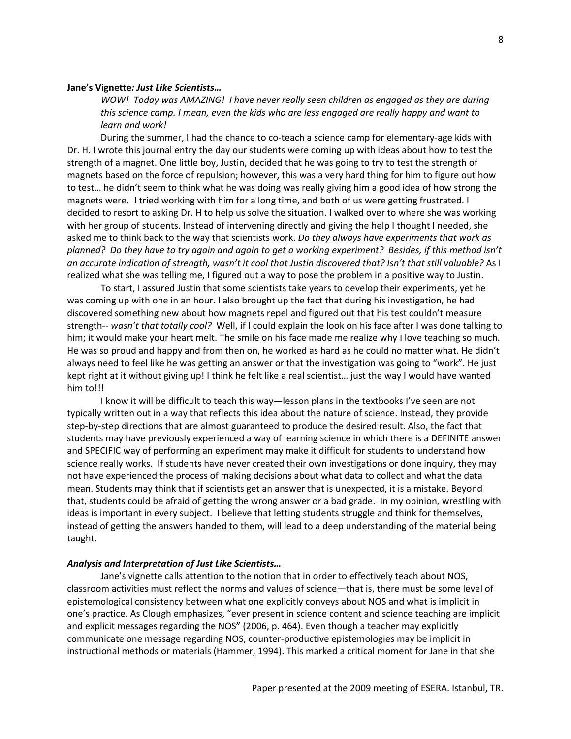### **Jane's Vignette***: Just Like Scientists…*

*WOW! Today was AMAZING! I have never really seen children as engaged as they are during this science camp. I mean, even the kids who are less engaged are really happy and want to learn and work!*

During the summer, I had the chance to co-teach a science camp for elementary-age kids with Dr. H. I wrote this journal entry the day our students were coming up with ideas about how to test the strength of a magnet. One little boy, Justin, decided that he was going to try to test the strength of magnets based on the force of repulsion; however, this was a very hard thing for him to figure out how to test… he didn't seem to think what he was doing was really giving him a good idea of how strong the magnets were. I tried working with him for a long time, and both of us were getting frustrated. I decided to resort to asking Dr. H to help us solve the situation. I walked over to where she was working with her group of students. Instead of intervening directly and giving the help I thought I needed, she asked me to think back to the way that scientists work. *Do they always have experiments that work as* planned? Do they have to try again and again to get a working experiment? Besides, if this method isn't *an accurate indication of strength, wasn't it cool that Justin discovered that? Isn't that still valuable?* As I realized what she was telling me, I figured out a way to pose the problem in a positive way to Justin.

To start, I assured Justin that some scientists take years to develop their experiments, yet he was coming up with one in an hour. I also brought up the fact that during his investigation, he had discovered something new about how magnets repel and figured out that his test couldn't measure strength‐‐ *wasn't that totally cool?* Well, if I could explain the look on his face after I was done talking to him; it would make your heart melt. The smile on his face made me realize why I love teaching so much. He was so proud and happy and from then on, he worked as hard as he could no matter what. He didn't always need to feel like he was getting an answer or that the investigation was going to "work". He just kept right at it without giving up! I think he felt like a real scientist… just the way I would have wanted him to!!!

I know it will be difficult to teach this way—lesson plans in the textbooks I've seen are not typically written out in a way that reflects this idea about the nature of science. Instead, they provide step-by-step directions that are almost guaranteed to produce the desired result. Also, the fact that students may have previously experienced a way of learning science in which there is a DEFINITE answer and SPECIFIC way of performing an experiment may make it difficult for students to understand how science really works. If students have never created their own investigations or done inquiry, they may not have experienced the process of making decisions about what data to collect and what the data mean. Students may think that if scientists get an answer that is unexpected, it is a mistake. Beyond that, students could be afraid of getting the wrong answer or a bad grade. In my opinion, wrestling with ideas is important in every subject. I believe that letting students struggle and think for themselves, instead of getting the answers handed to them, will lead to a deep understanding of the material being taught.

## *Analysis and Interpretation of Just Like Scientists…*

Jane's vignette calls attention to the notion that in order to effectively teach about NOS, classroom activities must reflect the norms and values of science—that is, there must be some level of epistemological consistency between what one explicitly conveys about NOS and what is implicit in one's practice. As Clough emphasizes, "ever present in science content and science teaching are implicit and explicit messages regarding the NOS" (2006, p. 464). Even though a teacher may explicitly communicate one message regarding NOS, counter‐productive epistemologies may be implicit in instructional methods or materials (Hammer, 1994). This marked a critical moment for Jane in that she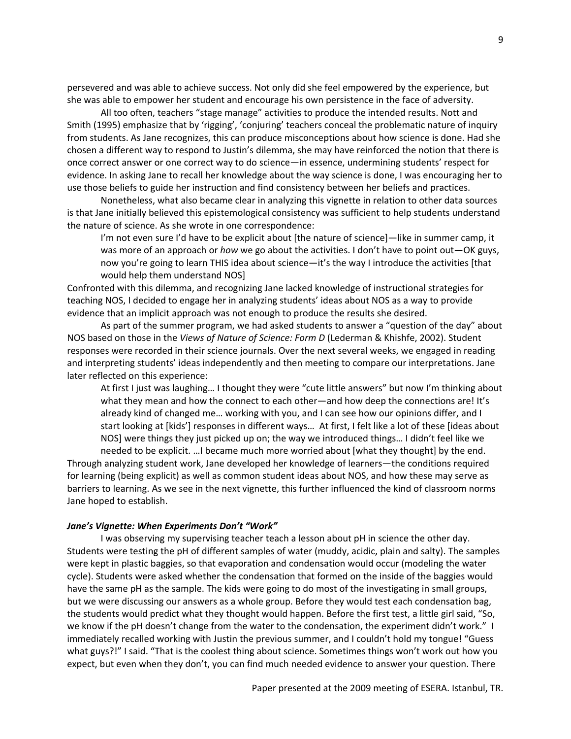persevered and was able to achieve success. Not only did she feel empowered by the experience, but she was able to empower her student and encourage his own persistence in the face of adversity.

All too often, teachers "stage manage" activities to produce the intended results. Nott and Smith (1995) emphasize that by 'rigging', 'conjuring' teachers conceal the problematic nature of inquiry from students. As Jane recognizes, this can produce misconceptions about how science is done. Had she chosen a different way to respond to Justin's dilemma, she may have reinforced the notion that there is once correct answer or one correct way to do science—in essence, undermining students' respect for evidence. In asking Jane to recall her knowledge about the way science is done, I was encouraging her to use those beliefs to guide her instruction and find consistency between her beliefs and practices.

Nonetheless, what also became clear in analyzing this vignette in relation to other data sources is that Jane initially believed this epistemological consistency was sufficient to help students understand the nature of science. As she wrote in one correspondence:

I'm not even sure I'd have to be explicit about [the nature of science]—like in summer camp, it was more of an approach or *how* we go about the activities. I don't have to point out—OK guys, now you're going to learn THIS idea about science—it's the way I introduce the activities [that would help them understand NOS]

Confronted with this dilemma, and recognizing Jane lacked knowledge of instructional strategies for teaching NOS, I decided to engage her in analyzing students' ideas about NOS as a way to provide evidence that an implicit approach was not enough to produce the results she desired.

As part of the summer program, we had asked students to answer a "question of the day" about NOS based on those in the *Views of Nature of Science: Form D* (Lederman & Khishfe, 2002). Student responses were recorded in their science journals. Over the next several weeks, we engaged in reading and interpreting students' ideas independently and then meeting to compare our interpretations. Jane later reflected on this experience:

At first I just was laughing… I thought they were "cute little answers" but now I'm thinking about what they mean and how the connect to each other—and how deep the connections are! It's already kind of changed me… working with you, and I can see how our opinions differ, and I start looking at [kids'] responses in different ways… At first, I felt like a lot of these [ideas about NOS] were things they just picked up on; the way we introduced things… I didn't feel like we

needed to be explicit. …I became much more worried about [what they thought] by the end. Through analyzing student work, Jane developed her knowledge of learners—the conditions required for learning (being explicit) as well as common student ideas about NOS, and how these may serve as barriers to learning. As we see in the next vignette, this further influenced the kind of classroom norms Jane hoped to establish.

#### *Jane's Vignette: When Experiments Don't "Work"*

I was observing my supervising teacher teach a lesson about pH in science the other day. Students were testing the pH of different samples of water (muddy, acidic, plain and salty). The samples were kept in plastic baggies, so that evaporation and condensation would occur (modeling the water cycle). Students were asked whether the condensation that formed on the inside of the baggies would have the same pH as the sample. The kids were going to do most of the investigating in small groups, but we were discussing our answers as a whole group. Before they would test each condensation bag, the students would predict what they thought would happen. Before the first test, a little girl said, "So, we know if the pH doesn't change from the water to the condensation, the experiment didn't work." I immediately recalled working with Justin the previous summer, and I couldn't hold my tongue! "Guess what guys?!" I said. "That is the coolest thing about science. Sometimes things won't work out how you expect, but even when they don't, you can find much needed evidence to answer your question. There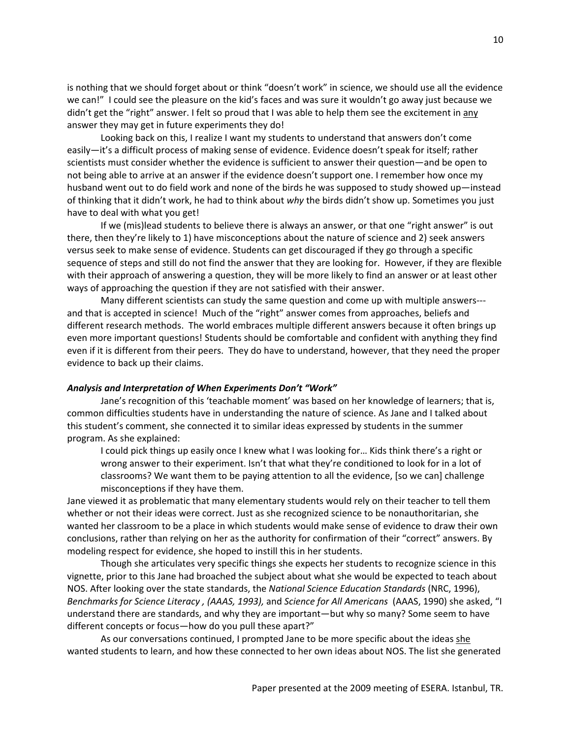is nothing that we should forget about or think "doesn't work" in science, we should use all the evidence we can!" I could see the pleasure on the kid's faces and was sure it wouldn't go away just because we didn't get the "right" answer. I felt so proud that I was able to help them see the excitement in any answer they may get in future experiments they do!

Looking back on this, I realize I want my students to understand that answers don't come easily—it's a difficult process of making sense of evidence. Evidence doesn't speak for itself; rather scientists must consider whether the evidence is sufficient to answer their question—and be open to not being able to arrive at an answer if the evidence doesn't support one. I remember how once my husband went out to do field work and none of the birds he was supposed to study showed up—instead of thinking that it didn't work, he had to think about *why* the birds didn't show up. Sometimes you just have to deal with what you get!

If we (mis)lead students to believe there is always an answer, or that one "right answer" is out there, then they're likely to 1) have misconceptions about the nature of science and 2) seek answers versus seek to make sense of evidence. Students can get discouraged if they go through a specific sequence of steps and still do not find the answer that they are looking for. However, if they are flexible with their approach of answering a question, they will be more likely to find an answer or at least other ways of approaching the question if they are not satisfied with their answer.

Many different scientists can study the same question and come up with multiple answers‐‐‐ and that is accepted in science! Much of the "right" answer comes from approaches, beliefs and different research methods. The world embraces multiple different answers because it often brings up even more important questions! Students should be comfortable and confident with anything they find even if it is different from their peers. They do have to understand, however, that they need the proper evidence to back up their claims.

### *Analysis and Interpretation of When Experiments Don't "Work"*

Jane's recognition of this 'teachable moment' was based on her knowledge of learners; that is, common difficulties students have in understanding the nature of science. As Jane and I talked about this student's comment, she connected it to similar ideas expressed by students in the summer program. As she explained:

I could pick things up easily once I knew what I was looking for… Kids think there's a right or wrong answer to their experiment. Isn't that what they're conditioned to look for in a lot of classrooms? We want them to be paying attention to all the evidence, [so we can] challenge misconceptions if they have them.

Jane viewed it as problematic that many elementary students would rely on their teacher to tell them whether or not their ideas were correct. Just as she recognized science to be nonauthoritarian, she wanted her classroom to be a place in which students would make sense of evidence to draw their own conclusions, rather than relying on her as the authority for confirmation of their "correct" answers. By modeling respect for evidence, she hoped to instill this in her students.

Though she articulates very specific things she expects her students to recognize science in this vignette, prior to this Jane had broached the subject about what she would be expected to teach about NOS. After looking over the state standards, the *National Science Education Standards* (NRC, 1996), *Benchmarks for Science Literacy , (AAAS, 1993),* and *Science for All Americans* (AAAS, 1990) she asked, "I understand there are standards, and why they are important—but why so many? Some seem to have different concepts or focus—how do you pull these apart?"

As our conversations continued, I prompted Jane to be more specific about the ideas she wanted students to learn, and how these connected to her own ideas about NOS. The list she generated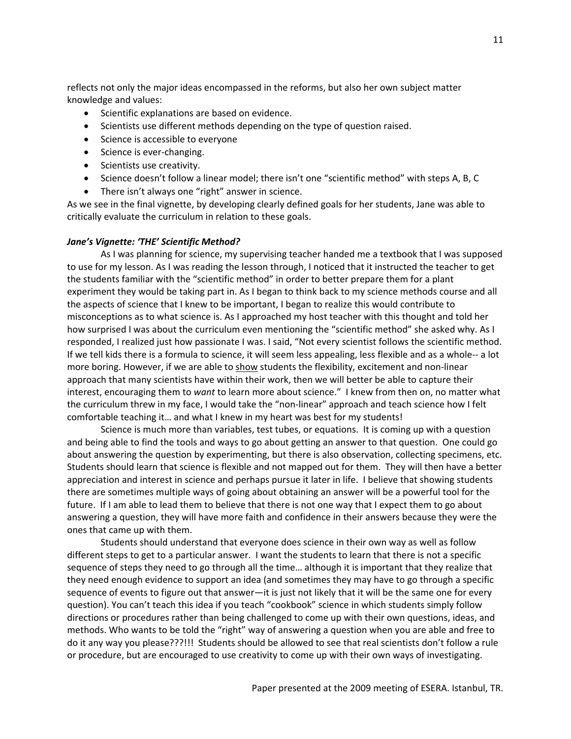reflects not only the major ideas encompassed in the reforms, but also her own subject matter knowledge and values:

- Scientific explanations are based on evidence.
- Scientists use different methods depending on the type of question raised.
- Science is accessible to everyone
- Science is ever-changing.
- Scientists use creativity.
- Science doesn't follow a linear model; there isn't one "scientific method" with steps A, B, C
- There isn't always one "right" answer in science.

As we see in the final vignette, by developing clearly defined goals for her students, Jane was able to critically evaluate the curriculum in relation to these goals.

## *Jane's Vignette: 'THE' Scientific Method?*

As I was planning for science, my supervising teacher handed me a textbook that I was supposed to use for my lesson. As I was reading the lesson through, I noticed that it instructed the teacher to get the students familiar with the "scientific method" in order to better prepare them for a plant experiment they would be taking part in. As I began to think back to my science methods course and all the aspects of science that I knew to be important, I began to realize this would contribute to misconceptions as to what science is. As I approached my host teacher with this thought and told her how surprised I was about the curriculum even mentioning the "scientific method" she asked why. As I responded, I realized just how passionate I was. I said, "Not every scientist follows the scientific method. If we tell kids there is a formula to science, it will seem less appealing, less flexible and as a whole‐‐ a lot more boring. However, if we are able to show students the flexibility, excitement and non-linear approach that many scientists have within their work, then we will better be able to capture their interest, encouraging them to *want* to learn more about science." I knew from then on, no matter what the curriculum threw in my face, I would take the "non-linear" approach and teach science how I felt comfortable teaching it… and what I knew in my heart was best for my students!

Science is much more than variables, test tubes, or equations. It is coming up with a question and being able to find the tools and ways to go about getting an answer to that question. One could go about answering the question by experimenting, but there is also observation, collecting specimens, etc. Students should learn that science is flexible and not mapped out for them. They will then have a better appreciation and interest in science and perhaps pursue it later in life. I believe that showing students there are sometimes multiple ways of going about obtaining an answer will be a powerful tool for the future. If I am able to lead them to believe that there is not one way that I expect them to go about answering a question, they will have more faith and confidence in their answers because they were the ones that came up with them.

Students should understand that everyone does science in their own way as well as follow different steps to get to a particular answer. I want the students to learn that there is not a specific sequence of steps they need to go through all the time… although it is important that they realize that they need enough evidence to support an idea (and sometimes they may have to go through a specific sequence of events to figure out that answer—it is just not likely that it will be the same one for every question). You can't teach this idea if you teach "cookbook" science in which students simply follow directions or procedures rather than being challenged to come up with their own questions, ideas, and methods. Who wants to be told the "right" way of answering a question when you are able and free to do it any way you please???!!! Students should be allowed to see that real scientists don't follow a rule or procedure, but are encouraged to use creativity to come up with their own ways of investigating.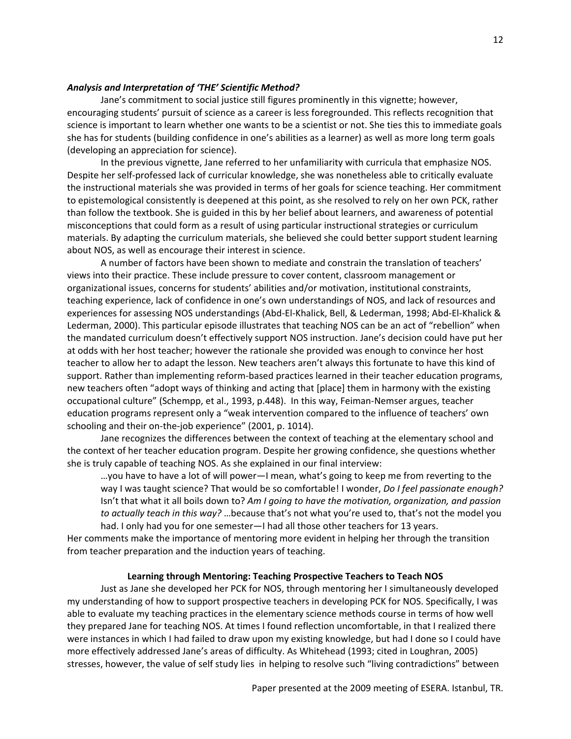### *Analysis and Interpretation of 'THE' Scientific Method?*

Jane's commitment to social justice still figures prominently in this vignette; however, encouraging students' pursuit of science as a career is less foregrounded. This reflects recognition that science is important to learn whether one wants to be a scientist or not. She ties this to immediate goals she has for students (building confidence in one's abilities as a learner) as well as more long term goals (developing an appreciation for science).

In the previous vignette, Jane referred to her unfamiliarity with curricula that emphasize NOS. Despite her self‐professed lack of curricular knowledge, she was nonetheless able to critically evaluate the instructional materials she was provided in terms of her goals for science teaching. Her commitment to epistemological consistently is deepened at this point, as she resolved to rely on her own PCK, rather than follow the textbook. She is guided in this by her belief about learners, and awareness of potential misconceptions that could form as a result of using particular instructional strategies or curriculum materials. By adapting the curriculum materials, she believed she could better support student learning about NOS, as well as encourage their interest in science.

A number of factors have been shown to mediate and constrain the translation of teachers' views into their practice. These include pressure to cover content, classroom management or organizational issues, concerns for students' abilities and/or motivation, institutional constraints, teaching experience, lack of confidence in one's own understandings of NOS, and lack of resources and experiences for assessing NOS understandings (Abd‐El‐Khalick, Bell, & Lederman, 1998; Abd‐El‐Khalick & Lederman, 2000). This particular episode illustrates that teaching NOS can be an act of "rebellion" when the mandated curriculum doesn't effectively support NOS instruction. Jane's decision could have put her at odds with her host teacher; however the rationale she provided was enough to convince her host teacher to allow her to adapt the lesson. New teachers aren't always this fortunate to have this kind of support. Rather than implementing reform-based practices learned in their teacher education programs, new teachers often "adopt ways of thinking and acting that [place] them in harmony with the existing occupational culture" (Schempp, et al., 1993, p.448). In this way, Feiman‐Nemser argues, teacher education programs represent only a "weak intervention compared to the influence of teachers' own schooling and their on-the-job experience" (2001, p. 1014).

Jane recognizes the differences between the context of teaching at the elementary school and the context of her teacher education program. Despite her growing confidence, she questions whether she is truly capable of teaching NOS. As she explained in our final interview:

…you have to have a lot of will power—I mean, what's going to keep me from reverting to the way I was taught science? That would be so comfortable! I wonder, *Do I feel passionate enough?* Isn't that what it all boils down to? *Am I going to have the motivation, organization, and passion to actually teach in this way?* …because that's not what you're used to, that's not the model you had. I only had you for one semester—I had all those other teachers for 13 years.

Her comments make the importance of mentoring more evident in helping her through the transition from teacher preparation and the induction years of teaching.

#### **Learning through Mentoring: Teaching Prospective Teachers to Teach NOS**

Just as Jane she developed her PCK for NOS, through mentoring her I simultaneously developed my understanding of how to support prospective teachers in developing PCK for NOS. Specifically, I was able to evaluate my teaching practices in the elementary science methods course in terms of how well they prepared Jane for teaching NOS. At times I found reflection uncomfortable, in that I realized there were instances in which I had failed to draw upon my existing knowledge, but had I done so I could have more effectively addressed Jane's areas of difficulty. As Whitehead (1993; cited in Loughran, 2005) stresses, however, the value of self study lies in helping to resolve such "living contradictions" between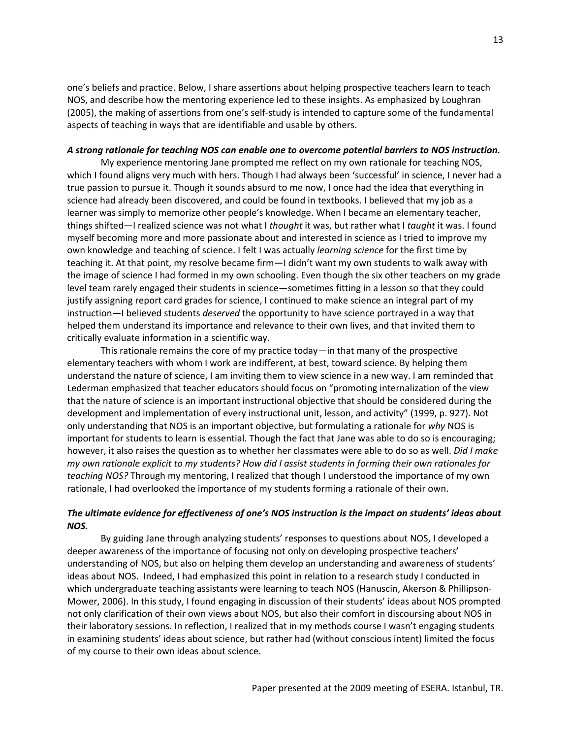one's beliefs and practice. Below, I share assertions about helping prospective teachers learn to teach NOS, and describe how the mentoring experience led to these insights. As emphasized by Loughran (2005), the making of assertions from one's self‐study is intended to capture some of the fundamental aspects of teaching in ways that are identifiable and usable by others.

## *A strong rationale for teaching NOS can enable one to overcome potential barriers to NOS instruction.*

My experience mentoring Jane prompted me reflect on my own rationale for teaching NOS, which I found aligns very much with hers. Though I had always been 'successful' in science, I never had a true passion to pursue it. Though it sounds absurd to me now, I once had the idea that everything in science had already been discovered, and could be found in textbooks. I believed that my job as a learner was simply to memorize other people's knowledge. When I became an elementary teacher, things shifted—I realized science was not what I *thought* it was, but rather what I *taught* it was. I found myself becoming more and more passionate about and interested in science as I tried to improve my own knowledge and teaching of science. I felt I was actually *learning science* for the first time by teaching it. At that point, my resolve became firm—I didn't want my own students to walk away with the image of science I had formed in my own schooling. Even though the six other teachers on my grade level team rarely engaged their students in science—sometimes fitting in a lesson so that they could justify assigning report card grades for science, I continued to make science an integral part of my instruction—I believed students *deserved* the opportunity to have science portrayed in a way that helped them understand its importance and relevance to their own lives, and that invited them to critically evaluate information in a scientific way.

This rationale remains the core of my practice today—in that many of the prospective elementary teachers with whom I work are indifferent, at best, toward science. By helping them understand the nature of science, I am inviting them to view science in a new way. I am reminded that Lederman emphasized that teacher educators should focus on "promoting internalization of the view that the nature of science is an important instructional objective that should be considered during the development and implementation of every instructional unit, lesson, and activity" (1999, p. 927). Not only understanding that NOS is an important objective, but formulating a rationale for *why* NOS is important for students to learn is essential. Though the fact that Jane was able to do so is encouraging; however, it also raises the question as to whether her classmates were able to do so as well. *Did I make* my own rationale explicit to my students? How did I assist students in forming their own rationales for *teaching NOS?* Through my mentoring, I realized that though I understood the importance of my own rationale, I had overlooked the importance of my students forming a rationale of their own.

# *The ultimate evidence for effectiveness of one's NOS instruction is the impact on students' ideas about NOS.*

By guiding Jane through analyzing students' responses to questions about NOS, I developed a deeper awareness of the importance of focusing not only on developing prospective teachers' understanding of NOS, but also on helping them develop an understanding and awareness of students' ideas about NOS. Indeed, I had emphasized this point in relation to a research study I conducted in which undergraduate teaching assistants were learning to teach NOS (Hanuscin, Akerson & Phillipson-Mower, 2006). In this study, I found engaging in discussion of their students' ideas about NOS prompted not only clarification of their own views about NOS, but also their comfort in discoursing about NOS in their laboratory sessions. In reflection, I realized that in my methods course I wasn't engaging students in examining students' ideas about science, but rather had (without conscious intent) limited the focus of my course to their own ideas about science.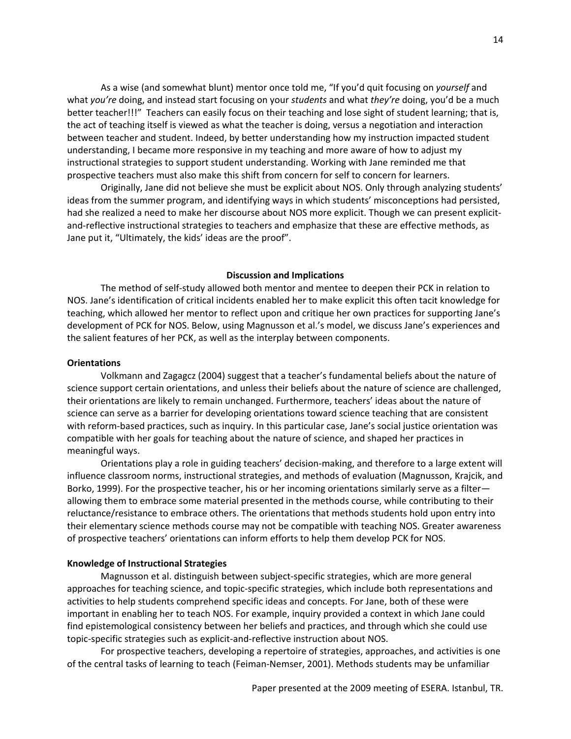As a wise (and somewhat blunt) mentor once told me, "If you'd quit focusing on *yourself* and what *you're* doing, and instead start focusing on your *students* and what *they're* doing, you'd be a much better teacher!!!" Teachers can easily focus on their teaching and lose sight of student learning; that is, the act of teaching itself is viewed as what the teacher is doing, versus a negotiation and interaction between teacher and student. Indeed, by better understanding how my instruction impacted student understanding, I became more responsive in my teaching and more aware of how to adjust my instructional strategies to support student understanding. Working with Jane reminded me that prospective teachers must also make this shift from concern for self to concern for learners.

Originally, Jane did not believe she must be explicit about NOS. Only through analyzing students' ideas from the summer program, and identifying ways in which students' misconceptions had persisted, had she realized a need to make her discourse about NOS more explicit. Though we can present explicitand‐reflective instructional strategies to teachers and emphasize that these are effective methods, as Jane put it, "Ultimately, the kids' ideas are the proof".

### **Discussion and Implications**

The method of self‐study allowed both mentor and mentee to deepen their PCK in relation to NOS. Jane's identification of critical incidents enabled her to make explicit this often tacit knowledge for teaching, which allowed her mentor to reflect upon and critique her own practices for supporting Jane's development of PCK for NOS. Below, using Magnusson et al.'s model, we discuss Jane's experiences and the salient features of her PCK, as well as the interplay between components.

## **Orientations**

Volkmann and Zagagcz (2004) suggest that a teacher's fundamental beliefs about the nature of science support certain orientations, and unless their beliefs about the nature of science are challenged, their orientations are likely to remain unchanged. Furthermore, teachers' ideas about the nature of science can serve as a barrier for developing orientations toward science teaching that are consistent with reform-based practices, such as inquiry. In this particular case, Jane's social justice orientation was compatible with her goals for teaching about the nature of science, and shaped her practices in meaningful ways.

Orientations play a role in guiding teachers' decision‐making, and therefore to a large extent will influence classroom norms, instructional strategies, and methods of evaluation (Magnusson, Krajcik, and Borko, 1999). For the prospective teacher, his or her incoming orientations similarly serve as a filter allowing them to embrace some material presented in the methods course, while contributing to their reluctance/resistance to embrace others. The orientations that methods students hold upon entry into their elementary science methods course may not be compatible with teaching NOS. Greater awareness of prospective teachers' orientations can inform efforts to help them develop PCK for NOS.

#### **Knowledge of Instructional Strategies**

Magnusson et al. distinguish between subject‐specific strategies, which are more general approaches for teaching science, and topic‐specific strategies, which include both representations and activities to help students comprehend specific ideas and concepts. For Jane, both of these were important in enabling her to teach NOS. For example, inquiry provided a context in which Jane could find epistemological consistency between her beliefs and practices, and through which she could use topic‐specific strategies such as explicit‐and‐reflective instruction about NOS.

For prospective teachers, developing a repertoire of strategies, approaches, and activities is one of the central tasks of learning to teach (Feiman‐Nemser, 2001). Methods students may be unfamiliar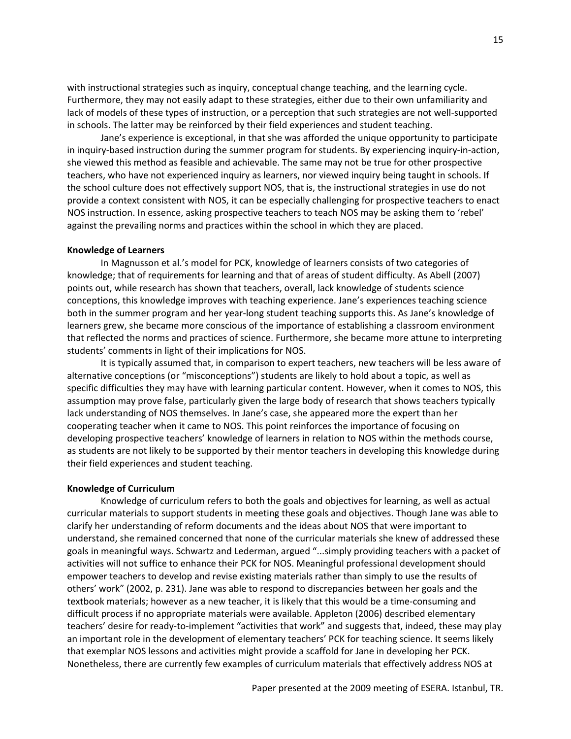with instructional strategies such as inquiry, conceptual change teaching, and the learning cycle. Furthermore, they may not easily adapt to these strategies, either due to their own unfamiliarity and lack of models of these types of instruction, or a perception that such strategies are not well-supported in schools. The latter may be reinforced by their field experiences and student teaching.

Jane's experience is exceptional, in that she was afforded the unique opportunity to participate in inquiry‐based instruction during the summer program for students. By experiencing inquiry‐in‐action, she viewed this method as feasible and achievable. The same may not be true for other prospective teachers, who have not experienced inquiry as learners, nor viewed inquiry being taught in schools. If the school culture does not effectively support NOS, that is, the instructional strategies in use do not provide a context consistent with NOS, it can be especially challenging for prospective teachers to enact NOS instruction. In essence, asking prospective teachers to teach NOS may be asking them to 'rebel' against the prevailing norms and practices within the school in which they are placed.

#### **Knowledge of Learners**

In Magnusson et al.'s model for PCK, knowledge of learners consists of two categories of knowledge; that of requirements for learning and that of areas of student difficulty. As Abell (2007) points out, while research has shown that teachers, overall, lack knowledge of students science conceptions, this knowledge improves with teaching experience. Jane's experiences teaching science both in the summer program and her year-long student teaching supports this. As Jane's knowledge of learners grew, she became more conscious of the importance of establishing a classroom environment that reflected the norms and practices of science. Furthermore, she became more attune to interpreting students' comments in light of their implications for NOS.

It is typically assumed that, in comparison to expert teachers, new teachers will be less aware of alternative conceptions (or "misconceptions") students are likely to hold about a topic, as well as specific difficulties they may have with learning particular content. However, when it comes to NOS, this assumption may prove false, particularly given the large body of research that shows teachers typically lack understanding of NOS themselves. In Jane's case, she appeared more the expert than her cooperating teacher when it came to NOS. This point reinforces the importance of focusing on developing prospective teachers' knowledge of learners in relation to NOS within the methods course, as students are not likely to be supported by their mentor teachers in developing this knowledge during their field experiences and student teaching.

## **Knowledge of Curriculum**

Knowledge of curriculum refers to both the goals and objectives for learning, as well as actual curricular materials to support students in meeting these goals and objectives. Though Jane was able to clarify her understanding of reform documents and the ideas about NOS that were important to understand, she remained concerned that none of the curricular materials she knew of addressed these goals in meaningful ways. Schwartz and Lederman, argued "...simply providing teachers with a packet of activities will not suffice to enhance their PCK for NOS. Meaningful professional development should empower teachers to develop and revise existing materials rather than simply to use the results of others' work" (2002, p. 231). Jane was able to respond to discrepancies between her goals and the textbook materials; however as a new teacher, it is likely that this would be a time-consuming and difficult process if no appropriate materials were available. Appleton (2006) described elementary teachers' desire for ready‐to‐implement "activities that work" and suggests that, indeed, these may play an important role in the development of elementary teachers' PCK for teaching science. It seems likely that exemplar NOS lessons and activities might provide a scaffold for Jane in developing her PCK. Nonetheless, there are currently few examples of curriculum materials that effectively address NOS at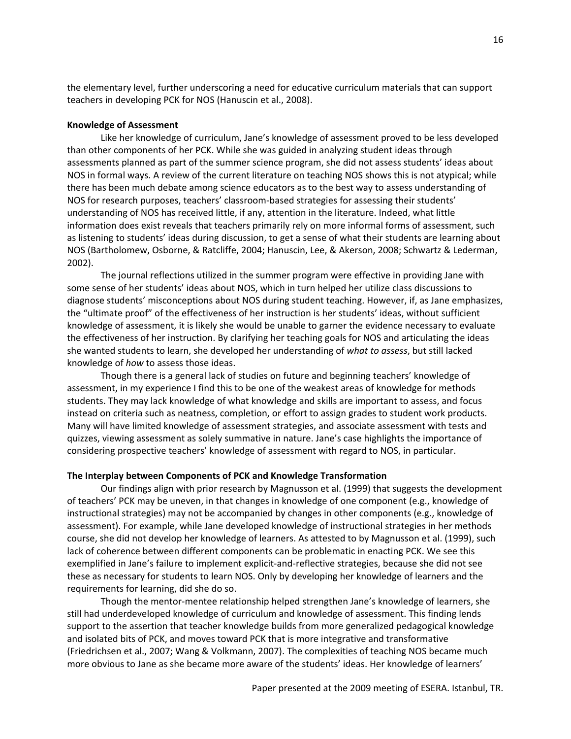the elementary level, further underscoring a need for educative curriculum materials that can support teachers in developing PCK for NOS (Hanuscin et al., 2008).

## **Knowledge of Assessment**

Like her knowledge of curriculum, Jane's knowledge of assessment proved to be less developed than other components of her PCK. While she was guided in analyzing student ideas through assessments planned as part of the summer science program, she did not assess students' ideas about NOS in formal ways. A review of the current literature on teaching NOS shows this is not atypical; while there has been much debate among science educators as to the best way to assess understanding of NOS for research purposes, teachers' classroom‐based strategies for assessing their students' understanding of NOS has received little, if any, attention in the literature. Indeed, what little information does exist reveals that teachers primarily rely on more informal forms of assessment, such as listening to students' ideas during discussion, to get a sense of what their students are learning about NOS (Bartholomew, Osborne, & Ratcliffe, 2004; Hanuscin, Lee, & Akerson, 2008; Schwartz & Lederman, 2002).

The journal reflections utilized in the summer program were effective in providing Jane with some sense of her students' ideas about NOS, which in turn helped her utilize class discussions to diagnose students' misconceptions about NOS during student teaching. However, if, as Jane emphasizes, the "ultimate proof" of the effectiveness of her instruction is her students' ideas, without sufficient knowledge of assessment, it is likely she would be unable to garner the evidence necessary to evaluate the effectiveness of her instruction. By clarifying her teaching goals for NOS and articulating the ideas she wanted students to learn, she developed her understanding of *what to assess*, but still lacked knowledge of *how* to assess those ideas.

Though there is a general lack of studies on future and beginning teachers' knowledge of assessment, in my experience I find this to be one of the weakest areas of knowledge for methods students. They may lack knowledge of what knowledge and skills are important to assess, and focus instead on criteria such as neatness, completion, or effort to assign grades to student work products. Many will have limited knowledge of assessment strategies, and associate assessment with tests and quizzes, viewing assessment as solely summative in nature. Jane's case highlights the importance of considering prospective teachers' knowledge of assessment with regard to NOS, in particular.

## **The Interplay between Components of PCK and Knowledge Transformation**

Our findings align with prior research by Magnusson et al. (1999) that suggests the development of teachers' PCK may be uneven, in that changes in knowledge of one component (e.g., knowledge of instructional strategies) may not be accompanied by changes in other components (e.g., knowledge of assessment). For example, while Jane developed knowledge of instructional strategies in her methods course, she did not develop her knowledge of learners. As attested to by Magnusson et al. (1999), such lack of coherence between different components can be problematic in enacting PCK. We see this exemplified in Jane's failure to implement explicit‐and‐reflective strategies, because she did not see these as necessary for students to learn NOS. Only by developing her knowledge of learners and the requirements for learning, did she do so.

Though the mentor‐mentee relationship helped strengthen Jane's knowledge of learners, she still had underdeveloped knowledge of curriculum and knowledge of assessment. This finding lends support to the assertion that teacher knowledge builds from more generalized pedagogical knowledge and isolated bits of PCK, and moves toward PCK that is more integrative and transformative (Friedrichsen et al., 2007; Wang & Volkmann, 2007). The complexities of teaching NOS became much more obvious to Jane as she became more aware of the students' ideas. Her knowledge of learners'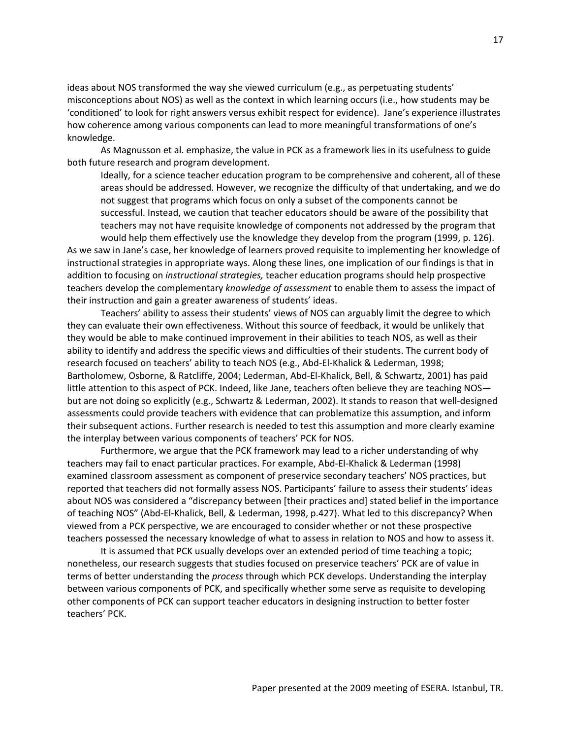ideas about NOS transformed the way she viewed curriculum (e.g., as perpetuating students' misconceptions about NOS) as well as the context in which learning occurs (i.e., how students may be 'conditioned' to look for right answers versus exhibit respect for evidence). Jane's experience illustrates how coherence among various components can lead to more meaningful transformations of one's knowledge.

As Magnusson et al. emphasize, the value in PCK as a framework lies in its usefulness to guide both future research and program development.

Ideally, for a science teacher education program to be comprehensive and coherent, all of these areas should be addressed. However, we recognize the difficulty of that undertaking, and we do not suggest that programs which focus on only a subset of the components cannot be successful. Instead, we caution that teacher educators should be aware of the possibility that teachers may not have requisite knowledge of components not addressed by the program that would help them effectively use the knowledge they develop from the program (1999, p. 126).

As we saw in Jane's case, her knowledge of learners proved requisite to implementing her knowledge of instructional strategies in appropriate ways. Along these lines, one implication of our findings is that in addition to focusing on *instructional strategies,* teacher education programs should help prospective teachers develop the complementary *knowledge of assessment* to enable them to assess the impact of their instruction and gain a greater awareness of students' ideas.

Teachers' ability to assess their students' views of NOS can arguably limit the degree to which they can evaluate their own effectiveness. Without this source of feedback, it would be unlikely that they would be able to make continued improvement in their abilities to teach NOS, as well as their ability to identify and address the specific views and difficulties of their students. The current body of research focused on teachers' ability to teach NOS (e.g., Abd‐El‐Khalick & Lederman, 1998; Bartholomew, Osborne, & Ratcliffe, 2004; Lederman, Abd‐El‐Khalick, Bell, & Schwartz, 2001) has paid little attention to this aspect of PCK. Indeed, like Jane, teachers often believe they are teaching NOS but are not doing so explicitly (e.g., Schwartz & Lederman, 2002). It stands to reason that well‐designed assessments could provide teachers with evidence that can problematize this assumption, and inform their subsequent actions. Further research is needed to test this assumption and more clearly examine the interplay between various components of teachers' PCK for NOS.

Furthermore, we argue that the PCK framework may lead to a richer understanding of why teachers may fail to enact particular practices. For example, Abd‐El‐Khalick & Lederman (1998) examined classroom assessment as component of preservice secondary teachers' NOS practices, but reported that teachers did not formally assess NOS. Participants' failure to assess their students' ideas about NOS was considered a "discrepancy between [their practices and] stated belief in the importance of teaching NOS" (Abd‐El‐Khalick, Bell, & Lederman, 1998, p.427). What led to this discrepancy? When viewed from a PCK perspective, we are encouraged to consider whether or not these prospective teachers possessed the necessary knowledge of what to assess in relation to NOS and how to assess it.

It is assumed that PCK usually develops over an extended period of time teaching a topic; nonetheless, our research suggests that studies focused on preservice teachers' PCK are of value in terms of better understanding the *process* through which PCK develops. Understanding the interplay between various components of PCK, and specifically whether some serve as requisite to developing other components of PCK can support teacher educators in designing instruction to better foster teachers' PCK.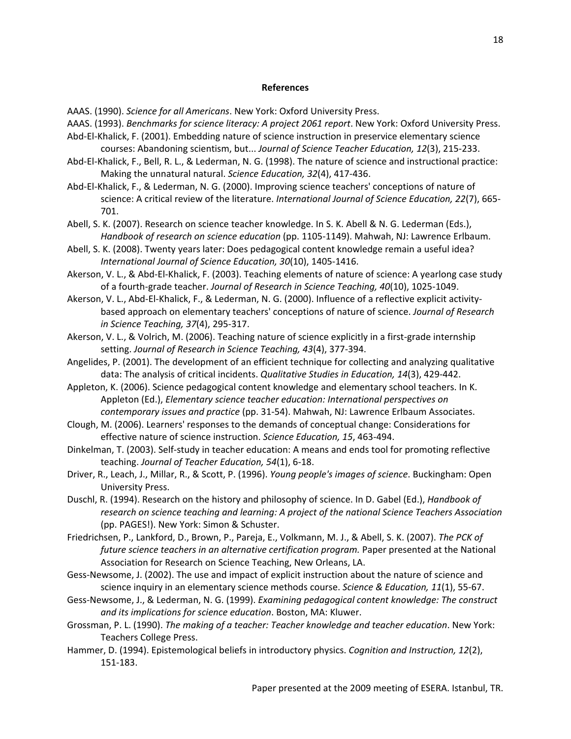### **References**

AAAS. (1990). *Science for all Americans*. New York: Oxford University Press.

AAAS. (1993). *Benchmarks for science literacy: A project 2061 report*. New York: Oxford University Press.

Abd‐El‐Khalick, F. (2001). Embedding nature of science instruction in preservice elementary science courses: Abandoning scientism, but... *Journal of Science Teacher Education, 12*(3), 215‐233.

Abd‐El‐Khalick, F., Bell, R. L., & Lederman, N. G. (1998). The nature of science and instructional practice: Making the unnatural natural. *Science Education, 32*(4), 417‐436.

Abd‐El‐Khalick, F., & Lederman, N. G. (2000). Improving science teachers' conceptions of nature of science: A critical review of the literature. *International Journal of Science Education, 22*(7), 665‐ 701.

Abell, S. K. (2007). Research on science teacher knowledge. In S. K. Abell & N. G. Lederman (Eds.), *Handbook of research on science education* (pp. 1105‐1149). Mahwah, NJ: Lawrence Erlbaum.

Abell, S. K. (2008). Twenty years later: Does pedagogical content knowledge remain a useful idea? *International Journal of Science Education, 30*(10), 1405‐1416.

Akerson, V. L., & Abd‐El‐Khalick, F. (2003). Teaching elements of nature of science: A yearlong case study of a fourth‐grade teacher. *Journal of Research in Science Teaching, 40*(10), 1025‐1049.

Akerson, V. L., Abd‐El‐Khalick, F., & Lederman, N. G. (2000). Influence of a reflective explicit activity‐ based approach on elementary teachers' conceptions of nature of science. *Journal of Research in Science Teaching, 37*(4), 295‐317.

Akerson, V. L., & Volrich, M. (2006). Teaching nature of science explicitly in a first-grade internship setting. *Journal of Research in Science Teaching, 43*(4), 377‐394.

Angelides, P. (2001). The development of an efficient technique for collecting and analyzing qualitative data: The analysis of critical incidents. *Qualitative Studies in Education, 14*(3), 429‐442.

Appleton, K. (2006). Science pedagogical content knowledge and elementary school teachers. In K. Appleton (Ed.), *Elementary science teacher education: International perspectives on contemporary issues and practice* (pp. 31‐54). Mahwah, NJ: Lawrence Erlbaum Associates.

Clough, M. (2006). Learners' responses to the demands of conceptual change: Considerations for effective nature of science instruction. *Science Education, 15*, 463‐494.

Dinkelman, T. (2003). Self‐study in teacher education: A means and ends tool for promoting reflective teaching. *Journal of Teacher Education, 54*(1), 6‐18.

Driver, R., Leach, J., Millar, R., & Scott, P. (1996). *Young people's images of science*. Buckingham: Open University Press.

Duschl, R. (1994). Research on the history and philosophy of science. In D. Gabel (Ed.), *Handbook of research on science teaching and learning: A project of the national Science Teachers Association* (pp. PAGES!). New York: Simon & Schuster.

Friedrichsen, P., Lankford, D., Brown, P., Pareja, E., Volkmann, M. J., & Abell, S. K. (2007). *The PCK of future science teachers in an alternative certification program.* Paper presented at the National Association for Research on Science Teaching, New Orleans, LA.

Gess‐Newsome, J. (2002). The use and impact of explicit instruction about the nature of science and science inquiry in an elementary science methods course. *Science & Education, 11*(1), 55‐67.

Gess‐Newsome, J., & Lederman, N. G. (1999). *Examining pedagogical content knowledge: The construct and its implications for science education*. Boston, MA: Kluwer.

Grossman, P. L. (1990). *The making of a teacher: Teacher knowledge and teacher education*. New York: Teachers College Press.

Hammer, D. (1994). Epistemological beliefs in introductory physics. *Cognition and Instruction, 12*(2), 151‐183.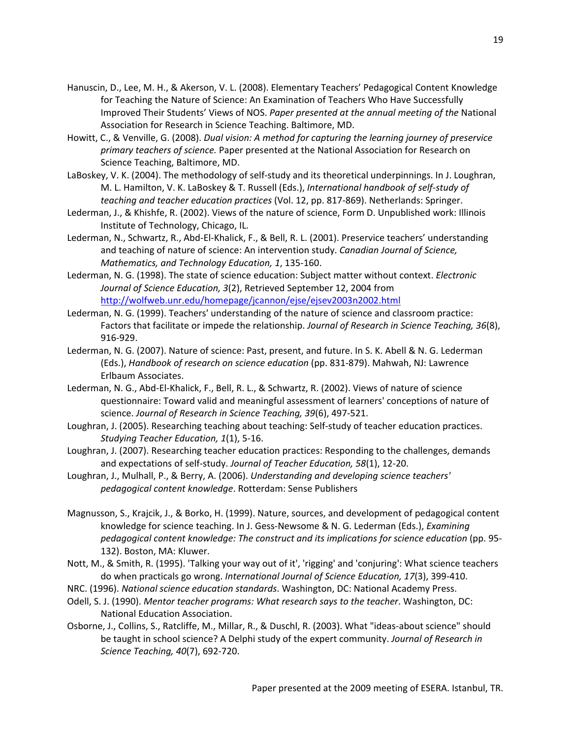- Hanuscin, D., Lee, M. H., & Akerson, V. L. (2008). Elementary Teachers' Pedagogical Content Knowledge for Teaching the Nature of Science: An Examination of Teachers Who Have Successfully Improved Their Students' Views of NOS. *Paper presented at the annual meeting of the* National Association for Research in Science Teaching. Baltimore, MD.
- Howitt, C., & Venville, G. (2008). *Dual vision: A method for capturing the learning journey of preservice primary teachers of science.* Paper presented at the National Association for Research on Science Teaching, Baltimore, MD.
- LaBoskey, V. K. (2004). The methodology of self-study and its theoretical underpinnings. In J. Loughran, M. L. Hamilton, V. K. LaBoskey & T. Russell (Eds.), *International handbook of self‐study of teaching and teacher education practices* (Vol. 12, pp. 817‐869). Netherlands: Springer.
- Lederman, J., & Khishfe, R. (2002). Views of the nature of science, Form D. Unpublished work: Illinois Institute of Technology, Chicago, IL.
- Lederman, N., Schwartz, R., Abd‐El‐Khalick, F., & Bell, R. L. (2001). Preservice teachers' understanding and teaching of nature of science: An intervention study. *Canadian Journal of Science, Mathematics, and Technology Education, 1*, 135‐160.
- Lederman, N. G. (1998). The state of science education: Subject matter without context. *Electronic Journal of Science Education, 3*(2), Retrieved September 12, 2004 from http://wolfweb.unr.edu/homepage/jcannon/ejse/ejsev2003n2002.html
- Lederman, N. G. (1999). Teachers' understanding of the nature of science and classroom practice: Factors that facilitate or impede the relationship. *Journal of Research in Science Teaching, 36*(8), 916‐929.
- Lederman, N. G. (2007). Nature of science: Past, present, and future. In S. K. Abell & N. G. Lederman (Eds.), *Handbook of research on science education* (pp. 831‐879). Mahwah, NJ: Lawrence Erlbaum Associates.
- Lederman, N. G., Abd‐El‐Khalick, F., Bell, R. L., & Schwartz, R. (2002). Views of nature of science questionnaire: Toward valid and meaningful assessment of learners' conceptions of nature of science. *Journal of Research in Science Teaching, 39*(6), 497‐521.
- Loughran, J. (2005). Researching teaching about teaching: Self‐study of teacher education practices. *Studying Teacher Education, 1*(1), 5‐16.
- Loughran, J. (2007). Researching teacher education practices: Responding to the challenges, demands and expectations of self‐study. *Journal of Teacher Education, 58*(1), 12‐20.
- Loughran, J., Mulhall, P., & Berry, A. (2006). *Understanding and developing science teachers' pedagogical content knowledge*. Rotterdam: Sense Publishers
- Magnusson, S., Krajcik, J., & Borko, H. (1999). Nature, sources, and development of pedagogical content knowledge for science teaching. In J. Gess‐Newsome & N. G. Lederman (Eds.), *Examining pedagogical content knowledge: The construct and its implications for science education* (pp. 95‐ 132). Boston, MA: Kluwer.
- Nott, M., & Smith, R. (1995). 'Talking your way out of it', 'rigging' and 'conjuring': What science teachers do when practicals go wrong. *International Journal of Science Education, 17*(3), 399‐410.
- NRC. (1996). *National science education standards*. Washington, DC: National Academy Press.
- Odell, S. J. (1990). *Mentor teacher programs: What research says to the teacher*. Washington, DC: National Education Association.
- Osborne, J., Collins, S., Ratcliffe, M., Millar, R., & Duschl, R. (2003). What "ideas‐about science" should be taught in school science? A Delphi study of the expert community. *Journal of Research in Science Teaching, 40*(7), 692‐720.